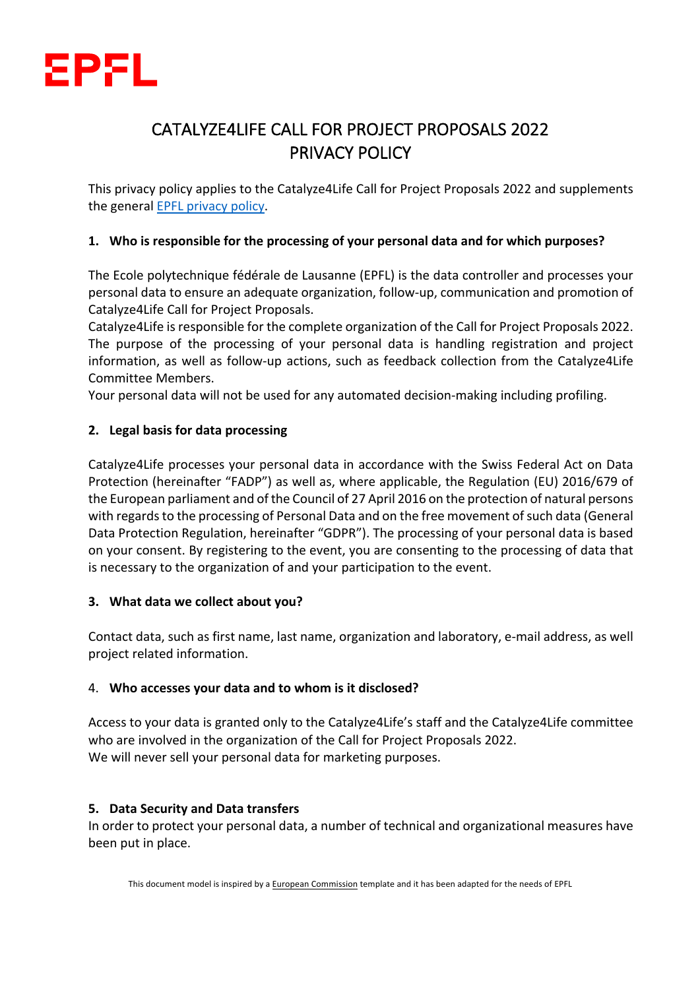

# CATALYZE4LIFE CALL FOR PROJECT PROPOSALS 2022 PRIVACY POLICY

This privacy policy applies to the Catalyze4Life Call for Project Proposals 2022 and supplements the general EPFL privacy policy.

## **1. Who is responsible for the processing of your personal data and for which purposes?**

The Ecole polytechnique fédérale de Lausanne (EPFL) is the data controller and processes your personal data to ensure an adequate organization, follow-up, communication and promotion of Catalyze4Life Call for Project Proposals.

Catalyze4Life is responsible for the complete organization of the Call for Project Proposals 2022. The purpose of the processing of your personal data is handling registration and project information, as well as follow-up actions, such as feedback collection from the Catalyze4Life Committee Members.

Your personal data will not be used for any automated decision-making including profiling.

## **2. Legal basis for data processing**

Catalyze4Life processes your personal data in accordance with the Swiss Federal Act on Data Protection (hereinafter "FADP") as well as, where applicable, the Regulation (EU) 2016/679 of the European parliament and of the Council of 27 April 2016 on the protection of natural persons with regards to the processing of Personal Data and on the free movement of such data (General Data Protection Regulation, hereinafter "GDPR"). The processing of your personal data is based on your consent. By registering to the event, you are consenting to the processing of data that is necessary to the organization of and your participation to the event.

## **3. What data we collect about you?**

Contact data, such as first name, last name, organization and laboratory, e-mail address, as well project related information.

## 4. **Who accesses your data and to whom is it disclosed?**

Access to your data is granted only to the Catalyze4Life's staff and the Catalyze4Life committee who are involved in the organization of the Call for Project Proposals 2022. We will never sell your personal data for marketing purposes.

## **5. Data Security and Data transfers**

In order to protect your personal data, a number of technical and organizational measures have been put in place.